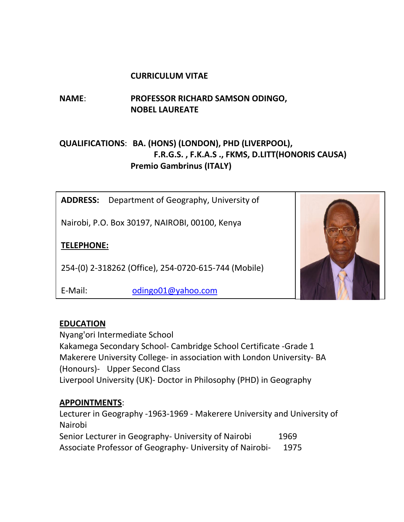#### **CURRICULUM VITAE**

# **NAME**: **PROFESSOR RICHARD SAMSON ODINGO, NOBEL LAUREATE**

# **QUALIFICATIONS**: **BA. (HONS) (LONDON), PHD (LIVERPOOL), F.R.G.S. , F.K.A.S ., FKMS, D.LITT(HONORIS CAUSA) Premio Gambrinus (ITALY)**

**ADDRESS:** Department of Geography, University of

Nairobi, P.O. Box 30197, NAIROBI, 00100, Kenya

### **TELEPHONE:**

254-(0) 2-318262 (Office), 254-0720-615-744 (Mobile)

E-Mail: [odingo01@yahoo.com](mailto:odingo01@yahoo.com)



## **EDUCATION**

Nyang'ori Intermediate School Kakamega Secondary School- Cambridge School Certificate -Grade 1 Makerere University College- in association with London University- BA (Honours)- Upper Second Class Liverpool University (UK)- Doctor in Philosophy (PHD) in Geography

#### **APPOINTMENTS**:

Lecturer in Geography -1963-1969 - Makerere University and University of Nairobi Senior Lecturer in Geography- University of Nairobi 1969 Associate Professor of Geography- University of Nairobi- 1975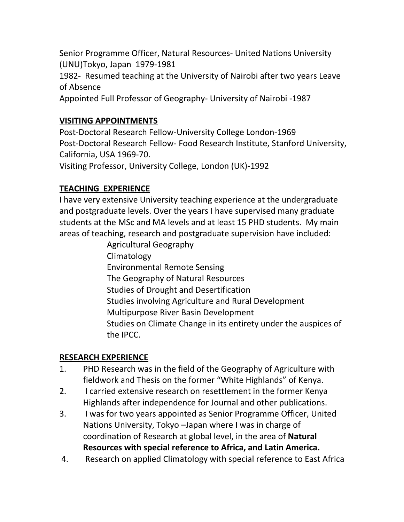Senior Programme Officer, Natural Resources- United Nations University (UNU)Tokyo, Japan 1979-1981

1982- Resumed teaching at the University of Nairobi after two years Leave of Absence

Appointed Full Professor of Geography- University of Nairobi -1987

## **VISITING APPOINTMENTS**

Post-Doctoral Research Fellow-University College London-1969 Post-Doctoral Research Fellow- Food Research Institute, Stanford University, California, USA 1969-70.

Visiting Professor, University College, London (UK)-1992

## **TEACHING EXPERIENCE**

I have very extensive University teaching experience at the undergraduate and postgraduate levels. Over the years I have supervised many graduate students at the MSc and MA levels and at least 15 PHD students. My main areas of teaching, research and postgraduate supervision have included:

> Agricultural Geography Climatology Environmental Remote Sensing The Geography of Natural Resources Studies of Drought and Desertification Studies involving Agriculture and Rural Development Multipurpose River Basin Development Studies on Climate Change in its entirety under the auspices of the IPCC.

## **RESEARCH EXPERIENCE**

- 1. PHD Research was in the field of the Geography of Agriculture with fieldwork and Thesis on the former "White Highlands" of Kenya.
- 2. I carried extensive research on resettlement in the former Kenya Highlands after independence for Journal and other publications.
- 3. I was for two years appointed as Senior Programme Officer, United Nations University, Tokyo –Japan where I was in charge of coordination of Research at global level, in the area of **Natural Resources with special reference to Africa, and Latin America.**
- 4. Research on applied Climatology with special reference to East Africa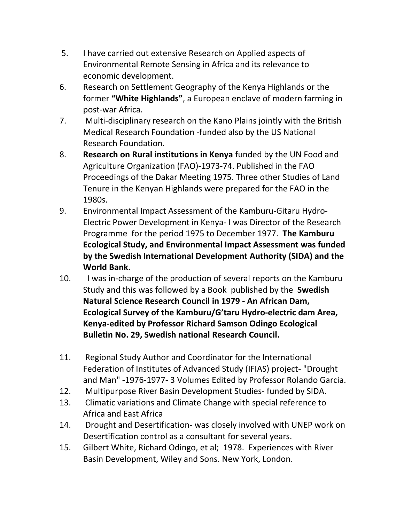- 5. I have carried out extensive Research on Applied aspects of Environmental Remote Sensing in Africa and its relevance to economic development.
- 6. Research on Settlement Geography of the Kenya Highlands or the former **"White Highlands"**, a European enclave of modern farming in post-war Africa.
- 7. Multi-disciplinary research on the Kano Plains jointly with the British Medical Research Foundation -funded also by the US National Research Foundation.
- 8. **Research on Rural institutions in Kenya** funded by the UN Food and Agriculture Organization (FAO)-1973-74. Published in the FAO Proceedings of the Dakar Meeting 1975. Three other Studies of Land Tenure in the Kenyan Highlands were prepared for the FAO in the 1980s.
- 9. Environmental Impact Assessment of the Kamburu-Gitaru Hydro-Electric Power Development in Kenya- I was Director of the Research Programme for the period 1975 to December 1977. **The Kamburu Ecological Study, and Environmental Impact Assessment was funded by the Swedish International Development Authority (SIDA) and the World Bank.**
- 10. I was in-charge of the production of several reports on the Kamburu Study and this was followed by a Book published by the **Swedish Natural Science Research Council in 1979 - An African Dam, Ecological Survey of the Kamburu/G'taru Hydro-electric dam Area, Kenya-edited by Professor Richard Samson Odingo Ecological Bulletin No. 29, Swedish national Research Council.**
- 11. Regional Study Author and Coordinator for the International Federation of Institutes of Advanced Study (IFIAS) project- "Drought and Man" -1976-1977- 3 Volumes Edited by Professor Rolando Garcia.
- 12. Multipurpose River Basin Development Studies- funded by SIDA.
- 13. Climatic variations and Climate Change with special reference to Africa and East Africa
- 14. Drought and Desertification- was closely involved with UNEP work on Desertification control as a consultant for several years.
- 15. Gilbert White, Richard Odingo, et al; 1978. Experiences with River Basin Development, Wiley and Sons. New York, London.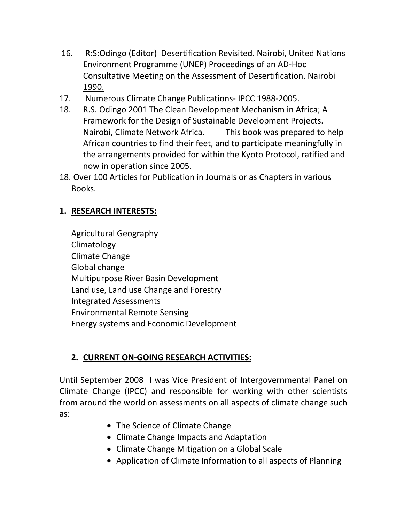- 16. R:S:Odingo (Editor) Desertification Revisited. Nairobi, United Nations Environment Programme (UNEP) Proceedings of an AD-Hoc Consultative Meeting on the Assessment of Desertification. Nairobi 1990.
- 17. Numerous Climate Change Publications- IPCC 1988-2005.
- 18. R.S. Odingo 2001 The Clean Development Mechanism in Africa; A Framework for the Design of Sustainable Development Projects. Nairobi, Climate Network Africa. This book was prepared to help African countries to find their feet, and to participate meaningfully in the arrangements provided for within the Kyoto Protocol, ratified and now in operation since 2005.
- 18. Over 100 Articles for Publication in Journals or as Chapters in various Books.

## **1. RESEARCH INTERESTS:**

Agricultural Geography Climatology Climate Change Global change Multipurpose River Basin Development Land use, Land use Change and Forestry Integrated Assessments Environmental Remote Sensing Energy systems and Economic Development

# **2. CURRENT ON-GOING RESEARCH ACTIVITIES:**

Until September 2008 I was Vice President of Intergovernmental Panel on Climate Change (IPCC) and responsible for working with other scientists from around the world on assessments on all aspects of climate change such as:

- The Science of Climate Change
- Climate Change Impacts and Adaptation
- Climate Change Mitigation on a Global Scale
- Application of Climate Information to all aspects of Planning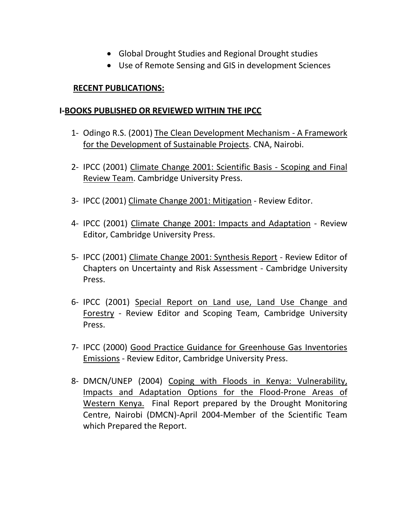- Global Drought Studies and Regional Drought studies
- Use of Remote Sensing and GIS in development Sciences

#### **RECENT PUBLICATIONS:**

#### **I-BOOKS PUBLISHED OR REVIEWED WITHIN THE IPCC**

- 1- Odingo R.S. (2001) The Clean Development Mechanism A Framework for the Development of Sustainable Projects. CNA, Nairobi.
- 2- IPCC (2001) Climate Change 2001: Scientific Basis Scoping and Final Review Team. Cambridge University Press.
- 3- IPCC (2001) Climate Change 2001: Mitigation Review Editor.
- 4- IPCC (2001) Climate Change 2001: Impacts and Adaptation Review Editor, Cambridge University Press.
- 5- IPCC (2001) Climate Change 2001: Synthesis Report Review Editor of Chapters on Uncertainty and Risk Assessment - Cambridge University Press.
- 6- IPCC (2001) Special Report on Land use, Land Use Change and Forestry - Review Editor and Scoping Team, Cambridge University Press.
- 7- IPCC (2000) Good Practice Guidance for Greenhouse Gas Inventories Emissions - Review Editor, Cambridge University Press.
- 8- DMCN/UNEP (2004) Coping with Floods in Kenya: Vulnerability, Impacts and Adaptation Options for the Flood-Prone Areas of Western Kenya. Final Report prepared by the Drought Monitoring Centre, Nairobi (DMCN)-April 2004-Member of the Scientific Team which Prepared the Report.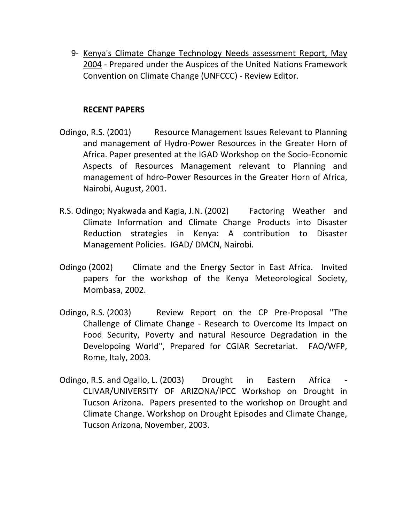9- Kenya's Climate Change Technology Needs assessment Report, May 2004 - Prepared under the Auspices of the United Nations Framework Convention on Climate Change (UNFCCC) - Review Editor.

#### **RECENT PAPERS**

- Odingo, R.S. (2001) Resource Management Issues Relevant to Planning and management of Hydro-Power Resources in the Greater Horn of Africa. Paper presented at the IGAD Workshop on the Socio-Economic Aspects of Resources Management relevant to Planning and management of hdro-Power Resources in the Greater Horn of Africa, Nairobi, August, 2001.
- R.S. Odingo; Nyakwada and Kagia, J.N. (2002) Factoring Weather and Climate Information and Climate Change Products into Disaster Reduction strategies in Kenya: A contribution to Disaster Management Policies. IGAD/ DMCN, Nairobi.
- Odingo (2002) Climate and the Energy Sector in East Africa. Invited papers for the workshop of the Kenya Meteorological Society, Mombasa, 2002.
- Odingo, R.S. (2003) Review Report on the CP Pre-Proposal "The Challenge of Climate Change - Research to Overcome Its Impact on Food Security, Poverty and natural Resource Degradation in the Developoing World", Prepared for CGIAR Secretariat. FAO/WFP, Rome, Italy, 2003.
- Odingo, R.S. and Ogallo, L. (2003) Drought in Eastern Africa CLIVAR/UNIVERSITY OF ARIZONA/IPCC Workshop on Drought in Tucson Arizona. Papers presented to the workshop on Drought and Climate Change. Workshop on Drought Episodes and Climate Change, Tucson Arizona, November, 2003.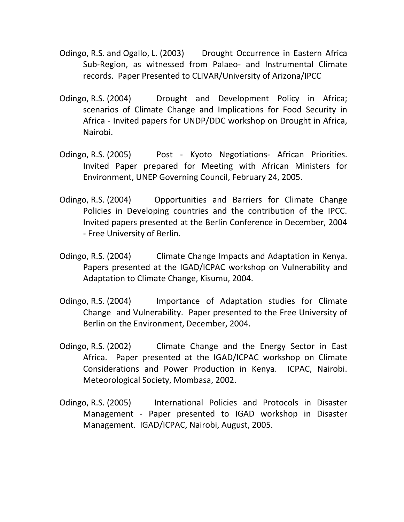- Odingo, R.S. and Ogallo, L. (2003) Drought Occurrence in Eastern Africa Sub-Region, as witnessed from Palaeo- and Instrumental Climate records. Paper Presented to CLIVAR/University of Arizona/IPCC
- Odingo, R.S. (2004) Drought and Development Policy in Africa; scenarios of Climate Change and Implications for Food Security in Africa - Invited papers for UNDP/DDC workshop on Drought in Africa, Nairobi.
- Odingo, R.S. (2005) Post Kyoto Negotiations- African Priorities. Invited Paper prepared for Meeting with African Ministers for Environment, UNEP Governing Council, February 24, 2005.
- Odingo, R.S. (2004) Opportunities and Barriers for Climate Change Policies in Developing countries and the contribution of the IPCC. Invited papers presented at the Berlin Conference in December, 2004 - Free University of Berlin.
- Odingo, R.S. (2004) Climate Change Impacts and Adaptation in Kenya. Papers presented at the IGAD/ICPAC workshop on Vulnerability and Adaptation to Climate Change, Kisumu, 2004.
- Odingo, R.S. (2004) Importance of Adaptation studies for Climate Change and Vulnerability. Paper presented to the Free University of Berlin on the Environment, December, 2004.
- Odingo, R.S. (2002) Climate Change and the Energy Sector in East Africa. Paper presented at the IGAD/ICPAC workshop on Climate Considerations and Power Production in Kenya. ICPAC, Nairobi. Meteorological Society, Mombasa, 2002.
- Odingo, R.S. (2005) International Policies and Protocols in Disaster Management - Paper presented to IGAD workshop in Disaster Management. IGAD/ICPAC, Nairobi, August, 2005.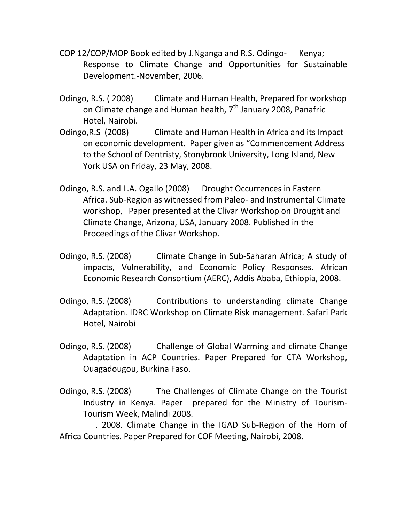- COP 12/COP/MOP Book edited by J.Nganga and R.S. Odingo- Kenya; Response to Climate Change and Opportunities for Sustainable Development.-November, 2006.
- Odingo, R.S. ( 2008) Climate and Human Health, Prepared for workshop on Climate change and Human health,  $7<sup>th</sup>$  January 2008, Panafric Hotel, Nairobi.
- Odingo,R.S (2008) Climate and Human Health in Africa and its Impact on economic development. Paper given as "Commencement Address to the School of Dentristy, Stonybrook University, Long Island, New York USA on Friday, 23 May, 2008.
- Odingo, R.S. and L.A. Ogallo (2008) Drought Occurrences in Eastern Africa. Sub-Region as witnessed from Paleo- and Instrumental Climate workshop, Paper presented at the Clivar Workshop on Drought and Climate Change, Arizona, USA, January 2008. Published in the Proceedings of the Clivar Workshop.
- Odingo, R.S. (2008) Climate Change in Sub-Saharan Africa; A study of impacts, Vulnerability, and Economic Policy Responses. African Economic Research Consortium (AERC), Addis Ababa, Ethiopia, 2008.
- Odingo, R.S. (2008) Contributions to understanding climate Change Adaptation. IDRC Workshop on Climate Risk management. Safari Park Hotel, Nairobi
- Odingo, R.S. (2008) Challenge of Global Warming and climate Change Adaptation in ACP Countries. Paper Prepared for CTA Workshop, Ouagadougou, Burkina Faso.
- Odingo, R.S. (2008) The Challenges of Climate Change on the Tourist Industry in Kenya. Paper prepared for the Ministry of Tourism-Tourism Week, Malindi 2008.

. 2008. Climate Change in the IGAD Sub-Region of the Horn of Africa Countries. Paper Prepared for COF Meeting, Nairobi, 2008.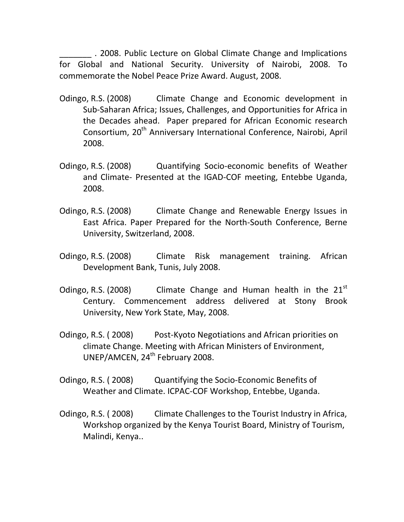\_\_\_\_\_\_\_ . 2008. Public Lecture on Global Climate Change and Implications for Global and National Security. University of Nairobi, 2008. To commemorate the Nobel Peace Prize Award. August, 2008.

- Odingo, R.S. (2008) Climate Change and Economic development in Sub-Saharan Africa; Issues, Challenges, and Opportunities for Africa in the Decades ahead. Paper prepared for African Economic research Consortium, 20<sup>th</sup> Anniversary International Conference, Nairobi, April 2008.
- Odingo, R.S. (2008) Quantifying Socio-economic benefits of Weather and Climate- Presented at the IGAD-COF meeting, Entebbe Uganda, 2008.
- Odingo, R.S. (2008) Climate Change and Renewable Energy Issues in East Africa. Paper Prepared for the North-South Conference, Berne University, Switzerland, 2008.
- Odingo, R.S. (2008) Climate Risk management training. African Development Bank, Tunis, July 2008.
- Odingo, R.S. (2008) Climate Change and Human health in the  $21^{st}$ Century. Commencement address delivered at Stony Brook University, New York State, May, 2008.
- Odingo, R.S. ( 2008) Post-Kyoto Negotiations and African priorities on climate Change. Meeting with African Ministers of Environment, UNEP/AMCEN, 24<sup>th</sup> February 2008.
- Odingo, R.S. ( 2008) Quantifying the Socio-Economic Benefits of Weather and Climate. ICPAC-COF Workshop, Entebbe, Uganda.
- Odingo, R.S. ( 2008) Climate Challenges to the Tourist Industry in Africa, Workshop organized by the Kenya Tourist Board, Ministry of Tourism, Malindi, Kenya..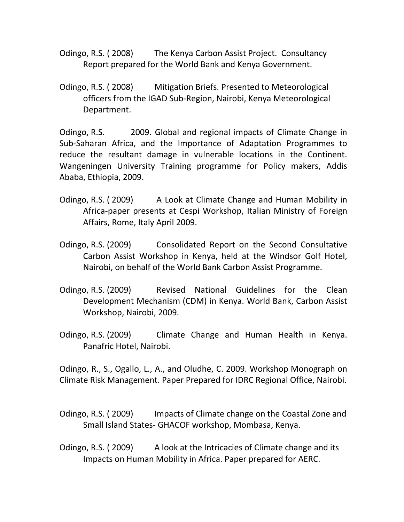- Odingo, R.S. ( 2008) The Kenya Carbon Assist Project. Consultancy Report prepared for the World Bank and Kenya Government.
- Odingo, R.S. ( 2008) Mitigation Briefs. Presented to Meteorological officers from the IGAD Sub-Region, Nairobi, Kenya Meteorological Department.

Odingo, R.S. 2009. Global and regional impacts of Climate Change in Sub-Saharan Africa, and the Importance of Adaptation Programmes to reduce the resultant damage in vulnerable locations in the Continent. Wangeningen University Training programme for Policy makers, Addis Ababa, Ethiopia, 2009.

- Odingo, R.S. ( 2009) A Look at Climate Change and Human Mobility in Africa-paper presents at Cespi Workshop, Italian Ministry of Foreign Affairs, Rome, Italy April 2009.
- Odingo, R.S. (2009) Consolidated Report on the Second Consultative Carbon Assist Workshop in Kenya, held at the Windsor Golf Hotel, Nairobi, on behalf of the World Bank Carbon Assist Programme.
- Odingo, R.S. (2009) Revised National Guidelines for the Clean Development Mechanism (CDM) in Kenya. World Bank, Carbon Assist Workshop, Nairobi, 2009.
- Odingo, R.S. (2009) Climate Change and Human Health in Kenya. Panafric Hotel, Nairobi.

Odingo, R., S., Ogallo, L., A., and Oludhe, C. 2009. Workshop Monograph on Climate Risk Management. Paper Prepared for IDRC Regional Office, Nairobi.

Odingo, R.S. ( 2009) Impacts of Climate change on the Coastal Zone and Small Island States- GHACOF workshop, Mombasa, Kenya.

Odingo, R.S. (2009) A look at the Intricacies of Climate change and its Impacts on Human Mobility in Africa. Paper prepared for AERC.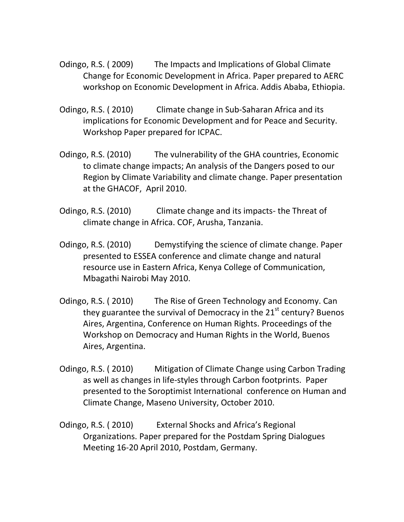- Odingo, R.S. ( 2009) The Impacts and Implications of Global Climate Change for Economic Development in Africa. Paper prepared to AERC workshop on Economic Development in Africa. Addis Ababa, Ethiopia.
- Odingo, R.S. ( 2010) Climate change in Sub-Saharan Africa and its implications for Economic Development and for Peace and Security. Workshop Paper prepared for ICPAC.
- Odingo, R.S. (2010) The vulnerability of the GHA countries, Economic to climate change impacts; An analysis of the Dangers posed to our Region by Climate Variability and climate change. Paper presentation at the GHACOF, April 2010.
- Odingo, R.S. (2010) Climate change and its impacts- the Threat of climate change in Africa. COF, Arusha, Tanzania.
- Odingo, R.S. (2010) Demystifying the science of climate change. Paper presented to ESSEA conference and climate change and natural resource use in Eastern Africa, Kenya College of Communication, Mbagathi Nairobi May 2010.
- Odingo, R.S. ( 2010) The Rise of Green Technology and Economy. Can they guarantee the survival of Democracy in the  $21<sup>st</sup>$  century? Buenos Aires, Argentina, Conference on Human Rights. Proceedings of the Workshop on Democracy and Human Rights in the World, Buenos Aires, Argentina.
- Odingo, R.S. ( 2010) Mitigation of Climate Change using Carbon Trading as well as changes in life-styles through Carbon footprints. Paper presented to the Soroptimist International conference on Human and Climate Change, Maseno University, October 2010.
- Odingo, R.S. ( 2010) External Shocks and Africa's Regional Organizations. Paper prepared for the Postdam Spring Dialogues Meeting 16-20 April 2010, Postdam, Germany.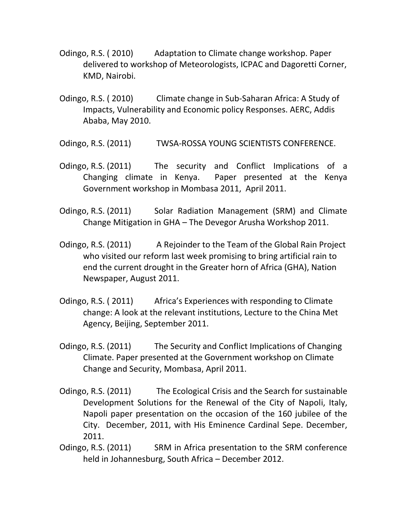- Odingo, R.S. ( 2010) Adaptation to Climate change workshop. Paper delivered to workshop of Meteorologists, ICPAC and Dagoretti Corner, KMD, Nairobi.
- Odingo, R.S. ( 2010) Climate change in Sub-Saharan Africa: A Study of Impacts, Vulnerability and Economic policy Responses. AERC, Addis Ababa, May 2010.

Odingo, R.S. (2011) TWSA-ROSSA YOUNG SCIENTISTS CONFERENCE.

- Odingo, R.S. (2011) The security and Conflict Implications of a Changing climate in Kenya. Paper presented at the Kenya Government workshop in Mombasa 2011, April 2011.
- Odingo, R.S. (2011) Solar Radiation Management (SRM) and Climate Change Mitigation in GHA – The Devegor Arusha Workshop 2011.
- Odingo, R.S. (2011) A Rejoinder to the Team of the Global Rain Project who visited our reform last week promising to bring artificial rain to end the current drought in the Greater horn of Africa (GHA), Nation Newspaper, August 2011.
- Odingo, R.S. ( 2011) Africa's Experiences with responding to Climate change: A look at the relevant institutions, Lecture to the China Met Agency, Beijing, September 2011.
- Odingo, R.S. (2011) The Security and Conflict Implications of Changing Climate. Paper presented at the Government workshop on Climate Change and Security, Mombasa, April 2011.
- Odingo, R.S. (2011) The Ecological Crisis and the Search for sustainable Development Solutions for the Renewal of the City of Napoli, Italy, Napoli paper presentation on the occasion of the 160 jubilee of the City. December, 2011, with His Eminence Cardinal Sepe. December, 2011.
- Odingo, R.S. (2011) SRM in Africa presentation to the SRM conference held in Johannesburg, South Africa – December 2012.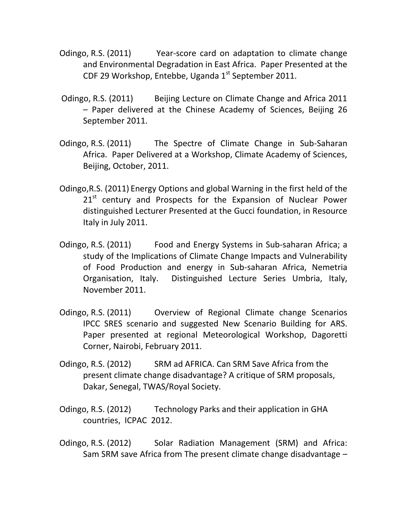- Odingo, R.S. (2011) Year-score card on adaptation to climate change and Environmental Degradation in East Africa. Paper Presented at the CDF 29 Workshop, Entebbe, Uganda  $1<sup>st</sup>$  September 2011.
- Odingo, R.S. (2011)Beijing Lecture on Climate Change and Africa 2011 – Paper delivered at the Chinese Academy of Sciences, Beijing 26 September 2011.
- Odingo, R.S. (2011) The Spectre of Climate Change in Sub-Saharan Africa. Paper Delivered at a Workshop, Climate Academy of Sciences, Beijing, October, 2011.
- Odingo,R.S. (2011) Energy Options and global Warning in the first held of the  $21<sup>st</sup>$  century and Prospects for the Expansion of Nuclear Power distinguished Lecturer Presented at the Gucci foundation, in Resource Italy in July 2011.
- Odingo, R.S. (2011) Food and Energy Systems in Sub-saharan Africa; a study of the Implications of Climate Change Impacts and Vulnerability of Food Production and energy in Sub-saharan Africa, Nemetria Organisation, Italy. Distinguished Lecture Series Umbria, Italy, November 2011.
- Odingo, R.S. (2011) Overview of Regional Climate change Scenarios IPCC SRES scenario and suggested New Scenario Building for ARS. Paper presented at regional Meteorological Workshop, Dagoretti Corner, Nairobi, February 2011.
- Odingo, R.S. (2012) SRM ad AFRICA. Can SRM Save Africa from the present climate change disadvantage? A critique of SRM proposals, Dakar, Senegal, TWAS/Royal Society.
- Odingo, R.S. (2012) Technology Parks and their application in GHA countries, ICPAC 2012.
- Odingo, R.S. (2012) Solar Radiation Management (SRM) and Africa: Sam SRM save Africa from The present climate change disadvantage –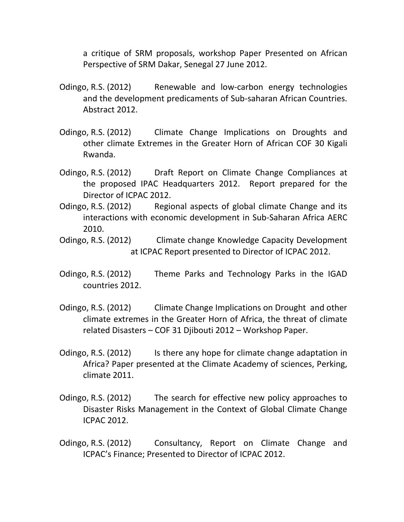a critique of SRM proposals, workshop Paper Presented on African Perspective of SRM Dakar, Senegal 27 June 2012.

- Odingo, R.S. (2012) Renewable and low-carbon energy technologies and the development predicaments of Sub-saharan African Countries. Abstract 2012.
- Odingo, R.S. (2012) Climate Change Implications on Droughts and other climate Extremes in the Greater Horn of African COF 30 Kigali Rwanda.
- Odingo, R.S. (2012) Draft Report on Climate Change Compliances at the proposed IPAC Headquarters 2012. Report prepared for the Director of ICPAC 2012.
- Odingo, R.S. (2012) Regional aspects of global climate Change and its interactions with economic development in Sub-Saharan Africa AERC 2010.
- Odingo, R.S. (2012) Climate change Knowledge Capacity Development at ICPAC Report presented to Director of ICPAC 2012.
- Odingo, R.S. (2012) Theme Parks and Technology Parks in the IGAD countries 2012.
- Odingo, R.S. (2012) Climate Change Implications on Drought and other climate extremes in the Greater Horn of Africa, the threat of climate related Disasters – COF 31 Djibouti 2012 – Workshop Paper.
- Odingo, R.S. (2012) Is there any hope for climate change adaptation in Africa? Paper presented at the Climate Academy of sciences, Perking, climate 2011.
- Odingo, R.S. (2012) The search for effective new policy approaches to Disaster Risks Management in the Context of Global Climate Change ICPAC 2012.
- Odingo, R.S. (2012) Consultancy, Report on Climate Change and ICPAC's Finance; Presented to Director of ICPAC 2012.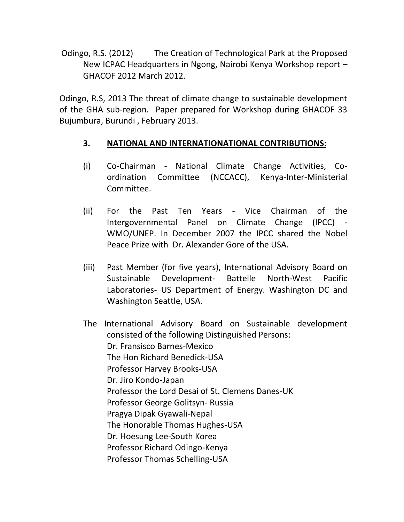Odingo, R.S. (2012) The Creation of Technological Park at the Proposed New ICPAC Headquarters in Ngong, Nairobi Kenya Workshop report – GHACOF 2012 March 2012.

Odingo, R.S, 2013 The threat of climate change to sustainable development of the GHA sub-region. Paper prepared for Workshop during GHACOF 33 Bujumbura, Burundi , February 2013.

### **3. NATIONAL AND INTERNATIONATIONAL CONTRIBUTIONS:**

- (i) Co-Chairman National Climate Change Activities, Coordination Committee (NCCACC), Kenya-Inter-Ministerial Committee.
- (ii) For the Past Ten Years Vice Chairman of the Intergovernmental Panel on Climate Change (IPCC) - WMO/UNEP. In December 2007 the IPCC shared the Nobel Peace Prize with Dr. Alexander Gore of the USA.
- (iii) Past Member (for five years), International Advisory Board on Sustainable Development- Battelle North-West Pacific Laboratories- US Department of Energy. Washington DC and Washington Seattle, USA.
- The International Advisory Board on Sustainable development consisted of the following Distinguished Persons: Dr. Fransisco Barnes-Mexico The Hon Richard Benedick-USA Professor Harvey Brooks-USA Dr. Jiro Kondo-Japan Professor the Lord Desai of St. Clemens Danes-UK Professor George Golitsyn- Russia Pragya Dipak Gyawali-Nepal The Honorable Thomas Hughes-USA Dr. Hoesung Lee-South Korea Professor Richard Odingo-Kenya Professor Thomas Schelling-USA